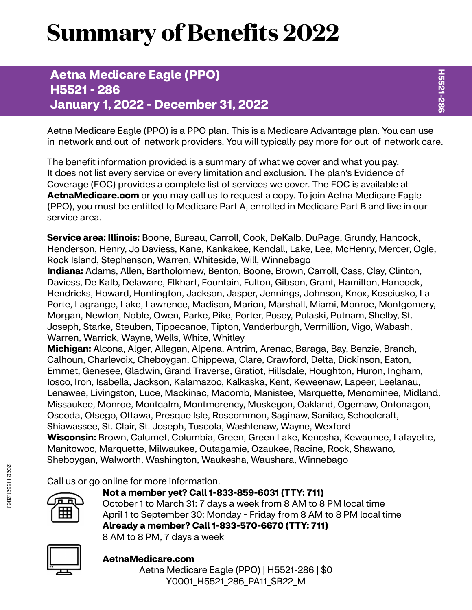# **Summary of Benefits 2022**

# **Aetna Medicare Eagle (PPO) H5521 - 286 January 1, 2022 - December 31, 2022**

Aetna Medicare Eagle (PPO) is a PPO plan. This is a Medicare Advantage plan. You can use in-network and out-of-network providers. You will typically pay more for out-of-network care.

The benefit information provided is a summary of what we cover and what you pay. It does not list every service or every limitation and exclusion. The plan's Evidence of Coverage (EOC) provides a complete list of services we cover. The EOC is available at **[AetnaMedicare.com](http://AetnaMedicare.com)** or you may call us to request a copy. To join Aetna Medicare Eagle (PPO), you must be entitled to Medicare Part A, enrolled in Medicare Part B and live in our service area.

**Service area: Illinois:** Boone, Bureau, Carroll, Cook, DeKalb, DuPage, Grundy, Hancock, Henderson, Henry, Jo Daviess, Kane, Kankakee, Kendall, Lake, Lee, McHenry, Mercer, Ogle, Rock Island, Stephenson, Warren, Whiteside, Will, Winnebago

**Indiana:** Adams, Allen, Bartholomew, Benton, Boone, Brown, Carroll, Cass, Clay, Clinton, Daviess, De Kalb, Delaware, Elkhart, Fountain, Fulton, Gibson, Grant, Hamilton, Hancock, Hendricks, Howard, Huntington, Jackson, Jasper, Jennings, Johnson, Knox, Kosciusko, La Porte, Lagrange, Lake, Lawrence, Madison, Marion, Marshall, Miami, Monroe, Montgomery, Morgan, Newton, Noble, Owen, Parke, Pike, Porter, Posey, Pulaski, Putnam, Shelby, St. Joseph, Starke, Steuben, Tippecanoe, Tipton, Vanderburgh, Vermillion, Vigo, Wabash, Warren, Warrick, Wayne, Wells, White, Whitley

**Michigan:** Alcona, Alger, Allegan, Alpena, Antrim, Arenac, Baraga, Bay, Benzie, Branch, Calhoun, Charlevoix, Cheboygan, Chippewa, Clare, Crawford, Delta, Dickinson, Eaton, Emmet, Genesee, Gladwin, Grand Traverse, Gratiot, Hillsdale, Houghton, Huron, Ingham, Iosco, Iron, Isabella, Jackson, Kalamazoo, Kalkaska, Kent, Keweenaw, Lapeer, Leelanau, Lenawee, Livingston, Luce, Mackinac, Macomb, Manistee, Marquette, Menominee, Midland, Missaukee, Monroe, Montcalm, Montmorency, Muskegon, Oakland, Ogemaw, Ontonagon, Oscoda, Otsego, Ottawa, Presque Isle, Roscommon, Saginaw, Sanilac, Schoolcraft, Shiawassee, St. Clair, St. Joseph, Tuscola, Washtenaw, Wayne, Wexford **Wisconsin:** Brown, Calumet, Columbia, Green, Green Lake, Kenosha, Kewaunee, Lafayette, Manitowoc, Marquette, Milwaukee, Outagamie, Ozaukee, Racine, Rock, Shawano, Sheboygan, Walworth, Washington, Waukesha, Waushara, Winnebago

Call us or go online for more information.



**Not a member yet? Call 1-833-859-6031 (TTY: 711)** October 1 to March 31: 7 days a week from 8 AM to 8 PM local time April 1 to September 30: Monday - Friday from 8 AM to 8 PM local time **Already a member? Call 1-833-570-6670 (TTY: 711)** 8 AM to 8 PM, 7 days a week



## **[AetnaMedicare.com](http://AetnaMedicare.com)**

Aetna Medicare Eagle (PPO) | H5521-286 | \$0 Y0001\_H5521\_286\_PA11\_SB22\_M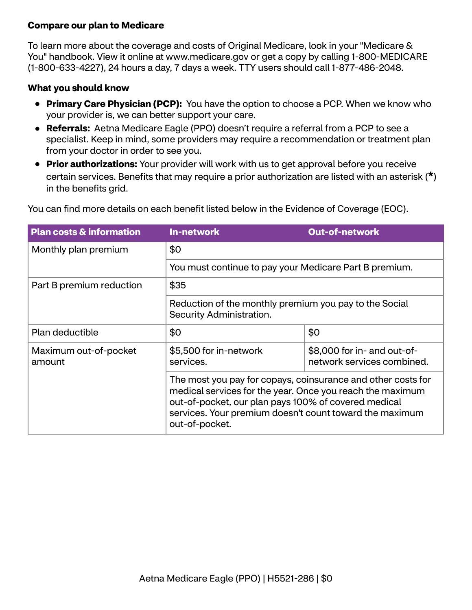#### **Compare our plan to Medicare**

To learn more about the coverage and costs of Original Medicare, look in your "Medicare & You" handbook. View it online at<www.medicare.gov>or get a copy by calling 1-800-MEDICARE (1-800-633-4227), 24 hours a day, 7 days a week. TTY users should call 1-877-486-2048.

#### **What you should know**

- **Primary Care Physician (PCP):** You have the option to choose a PCP. When we know who your provider is, we can better support your care.
- **Referrals:** Aetna Medicare Eagle (PPO) doesn't require a referral from a PCP to see a specialist. Keep in mind, some providers may require a recommendation or treatment plan from your doctor in order to see you.
- **Prior authorizations:** Your provider will work with us to get approval before you receive certain services. Benefits that may require a prior authorization are listed with an asterisk (**\***) in the benefits grid.

| <b>Plan costs &amp; information</b> | <b>In-network</b>                                                                                                                                                                                                                                              | <b>Out-of-network</b>                                     |
|-------------------------------------|----------------------------------------------------------------------------------------------------------------------------------------------------------------------------------------------------------------------------------------------------------------|-----------------------------------------------------------|
| Monthly plan premium                | \$0<br>You must continue to pay your Medicare Part B premium.                                                                                                                                                                                                  |                                                           |
|                                     |                                                                                                                                                                                                                                                                |                                                           |
| Part B premium reduction            | \$35<br>Reduction of the monthly premium you pay to the Social<br>Security Administration.                                                                                                                                                                     |                                                           |
|                                     |                                                                                                                                                                                                                                                                |                                                           |
| Plan deductible                     | \$0                                                                                                                                                                                                                                                            | \$0                                                       |
| Maximum out-of-pocket<br>amount     | \$5,500 for in-network<br>services.                                                                                                                                                                                                                            | \$8,000 for in- and out-of-<br>network services combined. |
|                                     | The most you pay for copays, coinsurance and other costs for<br>medical services for the year. Once you reach the maximum<br>out-of-pocket, our plan pays 100% of covered medical<br>services. Your premium doesn't count toward the maximum<br>out-of-pocket. |                                                           |

You can find more details on each benefit listed below in the Evidence of Coverage (EOC).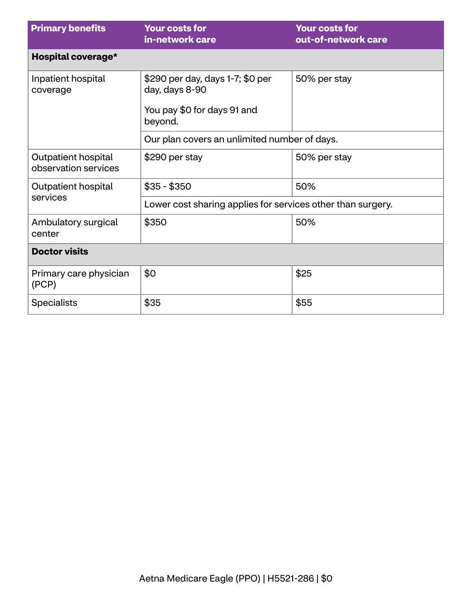| <b>Primary benefits</b>                     | <b>Your costs for</b><br>in-network care                                                     | <b>Your costs for</b><br>out-of-network care |  |
|---------------------------------------------|----------------------------------------------------------------------------------------------|----------------------------------------------|--|
| Hospital coverage*                          |                                                                                              |                                              |  |
| Inpatient hospital<br>coverage              | \$290 per day, days 1-7; \$0 per<br>day, days 8-90<br>You pay \$0 for days 91 and<br>beyond. | 50% per stay                                 |  |
|                                             | Our plan covers an unlimited number of days.                                                 |                                              |  |
| Outpatient hospital<br>observation services | \$290 per stay                                                                               | 50% per stay                                 |  |
| Outpatient hospital                         | $$35 - $350$                                                                                 | 50%                                          |  |
| services                                    | Lower cost sharing applies for services other than surgery.                                  |                                              |  |
| Ambulatory surgical<br>center               | \$350                                                                                        | 50%                                          |  |
| <b>Doctor visits</b>                        |                                                                                              |                                              |  |
| Primary care physician<br>(PCP)             | \$0                                                                                          | \$25                                         |  |
| <b>Specialists</b>                          | \$35                                                                                         | \$55                                         |  |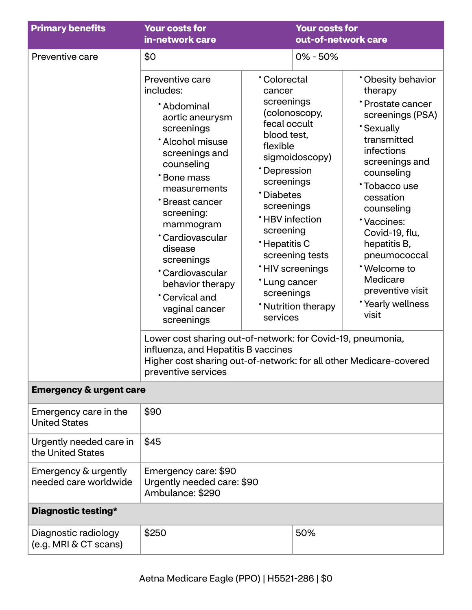| <b>Primary benefits</b>                       | <b>Your costs for</b><br>in-network care                                                                                                                                                                                                                                                                                                             |                                                                                                                                                                                                                                              | <b>Your costs for</b><br>out-of-network care                                                        |                                                                                                                                                                                                                                                                                                                                              |
|-----------------------------------------------|------------------------------------------------------------------------------------------------------------------------------------------------------------------------------------------------------------------------------------------------------------------------------------------------------------------------------------------------------|----------------------------------------------------------------------------------------------------------------------------------------------------------------------------------------------------------------------------------------------|-----------------------------------------------------------------------------------------------------|----------------------------------------------------------------------------------------------------------------------------------------------------------------------------------------------------------------------------------------------------------------------------------------------------------------------------------------------|
| Preventive care                               | \$0                                                                                                                                                                                                                                                                                                                                                  |                                                                                                                                                                                                                                              | $0\% - 50\%$                                                                                        |                                                                                                                                                                                                                                                                                                                                              |
|                                               | Preventive care<br>includes:<br>*Abdominal<br>aortic aneurysm<br>screenings<br>* Alcohol misuse<br>screenings and<br>counseling<br>*Bone mass<br>measurements<br>*Breast cancer<br>screening:<br>mammogram<br>*Cardiovascular<br>disease<br>screenings<br>*Cardiovascular<br>behavior therapy<br><b>Cervical and</b><br>vaginal cancer<br>screenings | <b>Colorectal</b><br>cancer<br>screenings<br>fecal occult<br>blood test,<br>flexible<br>*Depression<br>screenings<br>*Diabetes<br>screenings<br><b>*HBV</b> infection<br>screening<br>*Hepatitis C<br>*Lung cancer<br>screenings<br>services | (colonoscopy,<br>sigmoidoscopy)<br>screening tests<br><b>'HIV</b> screenings<br>* Nutrition therapy | * Obesity behavior<br>therapy<br>*Prostate cancer<br>screenings (PSA)<br><b>Sexually</b><br>transmitted<br>infections<br>screenings and<br>counseling<br>*Tobacco use<br>cessation<br>counseling<br>*Vaccines:<br>Covid-19, flu,<br>hepatitis B,<br>pneumococcal<br>*Welcome to<br>Medicare<br>preventive visit<br>*Yearly wellness<br>visit |
|                                               | Lower cost sharing out-of-network: for Covid-19, pneumonia,<br>influenza, and Hepatitis B vaccines<br>Higher cost sharing out-of-network: for all other Medicare-covered<br>preventive services                                                                                                                                                      |                                                                                                                                                                                                                                              |                                                                                                     |                                                                                                                                                                                                                                                                                                                                              |
| <b>Emergency &amp; urgent care</b>            |                                                                                                                                                                                                                                                                                                                                                      |                                                                                                                                                                                                                                              |                                                                                                     |                                                                                                                                                                                                                                                                                                                                              |
| Emergency care in the<br><b>United States</b> | \$90                                                                                                                                                                                                                                                                                                                                                 |                                                                                                                                                                                                                                              |                                                                                                     |                                                                                                                                                                                                                                                                                                                                              |
| Urgently needed care in<br>the United States  | \$45                                                                                                                                                                                                                                                                                                                                                 |                                                                                                                                                                                                                                              |                                                                                                     |                                                                                                                                                                                                                                                                                                                                              |
| Emergency & urgently<br>needed care worldwide | Emergency care: \$90<br>Urgently needed care: \$90<br>Ambulance: \$290                                                                                                                                                                                                                                                                               |                                                                                                                                                                                                                                              |                                                                                                     |                                                                                                                                                                                                                                                                                                                                              |
| Diagnostic testing*                           |                                                                                                                                                                                                                                                                                                                                                      |                                                                                                                                                                                                                                              |                                                                                                     |                                                                                                                                                                                                                                                                                                                                              |
| Diagnostic radiology<br>(e.g. MRI & CT scans) | \$250                                                                                                                                                                                                                                                                                                                                                |                                                                                                                                                                                                                                              | 50%                                                                                                 |                                                                                                                                                                                                                                                                                                                                              |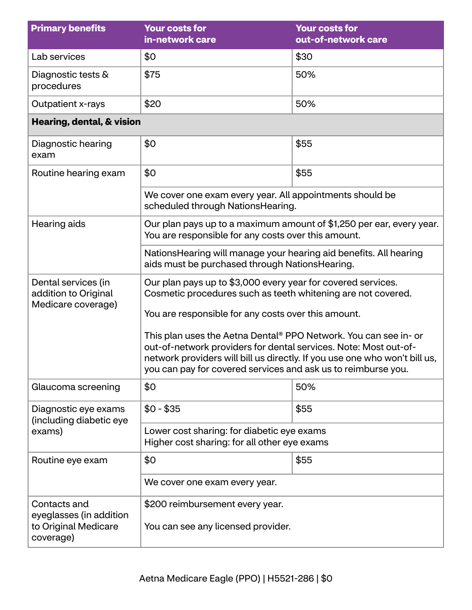| <b>Primary benefits</b>                                                      | <b>Your costs for</b><br>in-network care                                                                                                                                                                                                                                            | <b>Your costs for</b><br>out-of-network care |
|------------------------------------------------------------------------------|-------------------------------------------------------------------------------------------------------------------------------------------------------------------------------------------------------------------------------------------------------------------------------------|----------------------------------------------|
| Lab services                                                                 | \$0                                                                                                                                                                                                                                                                                 | \$30                                         |
| Diagnostic tests &<br>procedures                                             | \$75                                                                                                                                                                                                                                                                                | 50%                                          |
| Outpatient x-rays                                                            | \$20                                                                                                                                                                                                                                                                                | 50%                                          |
| Hearing, dental, & vision                                                    |                                                                                                                                                                                                                                                                                     |                                              |
| Diagnostic hearing<br>exam                                                   | \$0                                                                                                                                                                                                                                                                                 | \$55                                         |
| Routine hearing exam                                                         | \$0                                                                                                                                                                                                                                                                                 | \$55                                         |
|                                                                              | We cover one exam every year. All appointments should be<br>scheduled through NationsHearing.                                                                                                                                                                                       |                                              |
| Hearing aids                                                                 | Our plan pays up to a maximum amount of \$1,250 per ear, every year.<br>You are responsible for any costs over this amount.                                                                                                                                                         |                                              |
|                                                                              | Nations Hearing will manage your hearing aid benefits. All hearing<br>aids must be purchased through NationsHearing.                                                                                                                                                                |                                              |
| Dental services (in<br>addition to Original<br>Medicare coverage)            | Our plan pays up to \$3,000 every year for covered services.<br>Cosmetic procedures such as teeth whitening are not covered.<br>You are responsible for any costs over this amount.                                                                                                 |                                              |
|                                                                              | This plan uses the Aetna Dental® PPO Network. You can see in- or<br>out-of-network providers for dental services. Note: Most out-of-<br>network providers will bill us directly. If you use one who won't bill us,<br>you can pay for covered services and ask us to reimburse you. |                                              |
| Glaucoma screening                                                           | \$0                                                                                                                                                                                                                                                                                 | 50%                                          |
| Diagnostic eye exams<br>(including diabetic eye                              | $$0 - $35$                                                                                                                                                                                                                                                                          | \$55                                         |
| exams)                                                                       | Lower cost sharing: for diabetic eye exams<br>Higher cost sharing: for all other eye exams                                                                                                                                                                                          |                                              |
| Routine eye exam                                                             | \$0                                                                                                                                                                                                                                                                                 | \$55                                         |
|                                                                              | We cover one exam every year.                                                                                                                                                                                                                                                       |                                              |
| Contacts and<br>eyeglasses (in addition<br>to Original Medicare<br>coverage) | \$200 reimbursement every year.<br>You can see any licensed provider.                                                                                                                                                                                                               |                                              |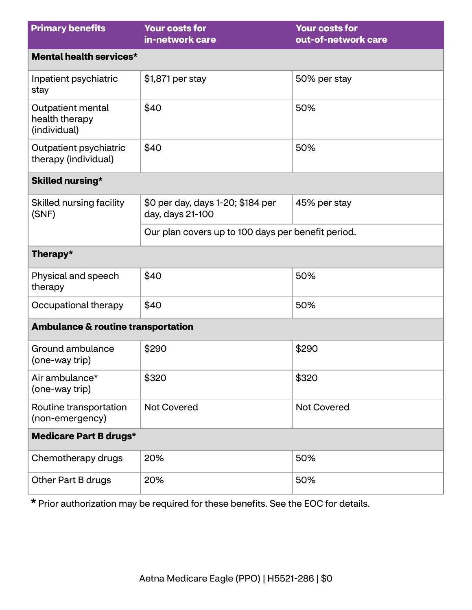| <b>Primary benefits</b>                             | <b>Your costs for</b><br>in-network care              | <b>Your costs for</b><br>out-of-network care |  |
|-----------------------------------------------------|-------------------------------------------------------|----------------------------------------------|--|
| Mental health services*                             |                                                       |                                              |  |
| Inpatient psychiatric<br>stay                       | \$1,871 per stay                                      | 50% per stay                                 |  |
| Outpatient mental<br>health therapy<br>(individual) | \$40                                                  | 50%                                          |  |
| Outpatient psychiatric<br>therapy (individual)      | \$40                                                  | 50%                                          |  |
| <b>Skilled nursing*</b>                             |                                                       |                                              |  |
| Skilled nursing facility<br>(SNF)                   | \$0 per day, days 1-20; \$184 per<br>day, days 21-100 | 45% per stay                                 |  |
|                                                     | Our plan covers up to 100 days per benefit period.    |                                              |  |
| Therapy*                                            |                                                       |                                              |  |
| Physical and speech<br>therapy                      | \$40                                                  | 50%                                          |  |
| Occupational therapy                                | \$40                                                  | 50%                                          |  |
| <b>Ambulance &amp; routine transportation</b>       |                                                       |                                              |  |
| Ground ambulance<br>(one-way trip)                  | \$290                                                 | \$290                                        |  |
| Air ambulance*<br>(one-way trip)                    | \$320                                                 | \$320                                        |  |
| Routine transportation<br>(non-emergency)           | <b>Not Covered</b>                                    | <b>Not Covered</b>                           |  |
| <b>Medicare Part B drugs*</b>                       |                                                       |                                              |  |
| Chemotherapy drugs                                  | 20%                                                   | 50%                                          |  |
| Other Part B drugs                                  | 20%                                                   | 50%                                          |  |

**\*** Prior authorization may be required for these benefits. See the EOC for details.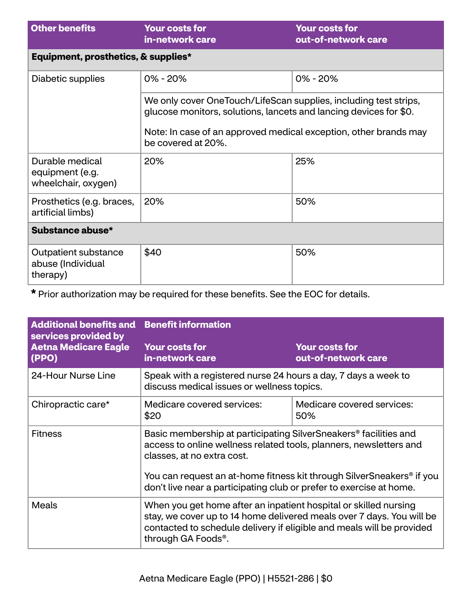| <b>Other benefits</b>                                     | <b>Your costs for</b><br>in-network care                                                                                                                                                                                        | <b>Your costs for</b><br>out-of-network care |
|-----------------------------------------------------------|---------------------------------------------------------------------------------------------------------------------------------------------------------------------------------------------------------------------------------|----------------------------------------------|
| Equipment, prosthetics, & supplies*                       |                                                                                                                                                                                                                                 |                                              |
| Diabetic supplies                                         | $0\% - 20\%$                                                                                                                                                                                                                    | $0\% - 20\%$                                 |
|                                                           | We only cover OneTouch/LifeScan supplies, including test strips,<br>glucose monitors, solutions, lancets and lancing devices for \$0.<br>Note: In case of an approved medical exception, other brands may<br>be covered at 20%. |                                              |
| Durable medical<br>equipment (e.g.<br>wheelchair, oxygen) | 20%                                                                                                                                                                                                                             | 25%                                          |
| Prosthetics (e.g. braces,<br>artificial limbs)            | 20%                                                                                                                                                                                                                             | 50%                                          |
| Substance abuse*                                          |                                                                                                                                                                                                                                 |                                              |
| Outpatient substance<br>abuse (Individual<br>therapy)     | \$40                                                                                                                                                                                                                            | 50%                                          |

**\*** Prior authorization may be required for these benefits. See the EOC for details.

| <b>Additional benefits and Benefit information</b><br>services provided by |                                                                                                                                                                                                                                                       |                                              |
|----------------------------------------------------------------------------|-------------------------------------------------------------------------------------------------------------------------------------------------------------------------------------------------------------------------------------------------------|----------------------------------------------|
| <b>Aetna Medicare Eagle</b><br>(PPO)                                       | <b>Your costs for</b><br>in-network care                                                                                                                                                                                                              | <b>Your costs for</b><br>out-of-network care |
| 24-Hour Nurse Line                                                         | Speak with a registered nurse 24 hours a day, 7 days a week to<br>discuss medical issues or wellness topics.                                                                                                                                          |                                              |
| Chiropractic care*                                                         | Medicare covered services:<br>\$20                                                                                                                                                                                                                    | Medicare covered services:<br>50%            |
| <b>Fitness</b>                                                             | Basic membership at participating SilverSneakers® facilities and<br>access to online wellness related tools, planners, newsletters and<br>classes, at no extra cost.                                                                                  |                                              |
|                                                                            | You can request an at-home fitness kit through SilverSneakers® if you<br>don't live near a participating club or prefer to exercise at home.                                                                                                          |                                              |
| <b>Meals</b>                                                               | When you get home after an inpatient hospital or skilled nursing<br>stay, we cover up to 14 home delivered meals over 7 days. You will be<br>contacted to schedule delivery if eligible and meals will be provided<br>through GA Foods <sup>®</sup> . |                                              |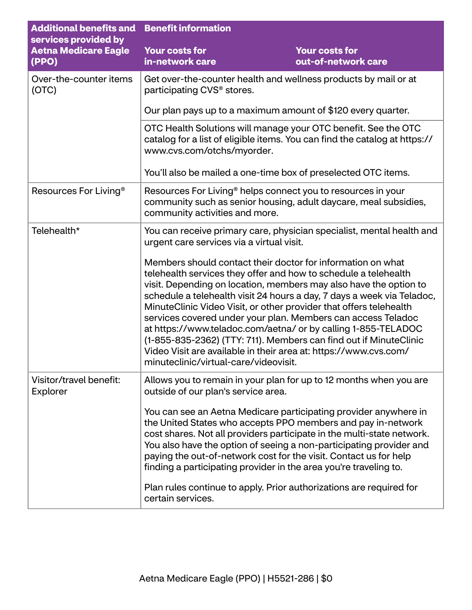| <b>Additional benefits and</b><br>services provided by | <b>Benefit information</b>                                                                                |                                                                                                                                                                                                                                                                                                                                                                                                                                                                                                                                                                                                                                                                                                        |  |
|--------------------------------------------------------|-----------------------------------------------------------------------------------------------------------|--------------------------------------------------------------------------------------------------------------------------------------------------------------------------------------------------------------------------------------------------------------------------------------------------------------------------------------------------------------------------------------------------------------------------------------------------------------------------------------------------------------------------------------------------------------------------------------------------------------------------------------------------------------------------------------------------------|--|
| <b>Aetna Medicare Eagle</b><br>(PPO)                   | <b>Your costs for</b><br>in-network care                                                                  | <b>Your costs for</b><br>out-of-network care                                                                                                                                                                                                                                                                                                                                                                                                                                                                                                                                                                                                                                                           |  |
| Over-the-counter items<br>(OTC)                        | Get over-the-counter health and wellness products by mail or at<br>participating CVS <sup>®</sup> stores. |                                                                                                                                                                                                                                                                                                                                                                                                                                                                                                                                                                                                                                                                                                        |  |
|                                                        |                                                                                                           | Our plan pays up to a maximum amount of \$120 every quarter.                                                                                                                                                                                                                                                                                                                                                                                                                                                                                                                                                                                                                                           |  |
|                                                        | www.cvs.com/otchs/myorder.                                                                                | OTC Health Solutions will manage your OTC benefit. See the OTC<br>catalog for a list of eligible items. You can find the catalog at https://                                                                                                                                                                                                                                                                                                                                                                                                                                                                                                                                                           |  |
|                                                        |                                                                                                           | You'll also be mailed a one-time box of preselected OTC items.                                                                                                                                                                                                                                                                                                                                                                                                                                                                                                                                                                                                                                         |  |
| Resources For Living <sup>®</sup>                      | community activities and more.                                                                            | Resources For Living <sup>®</sup> helps connect you to resources in your<br>community such as senior housing, adult daycare, meal subsidies,                                                                                                                                                                                                                                                                                                                                                                                                                                                                                                                                                           |  |
| Telehealth*                                            | urgent care services via a virtual visit.<br>minuteclinic/virtual-care/videovisit.                        | You can receive primary care, physician specialist, mental health and<br>Members should contact their doctor for information on what<br>telehealth services they offer and how to schedule a telehealth<br>visit. Depending on location, members may also have the option to<br>schedule a telehealth visit 24 hours a day, 7 days a week via Teladoc,<br>MinuteClinic Video Visit, or other provider that offers telehealth<br>services covered under your plan. Members can access Teladoc<br>at https://www.teladoc.com/aetna/ or by calling 1-855-TELADOC<br>(1-855-835-2362) (TTY: 711). Members can find out if MinuteClinic<br>Video Visit are available in their area at: https://www.cvs.com/ |  |
| Visitor/travel benefit:<br>Explorer                    | outside of our plan's service area.<br>certain services.                                                  | Allows you to remain in your plan for up to 12 months when you are<br>You can see an Aetna Medicare participating provider anywhere in<br>the United States who accepts PPO members and pay in-network<br>cost shares. Not all providers participate in the multi-state network.<br>You also have the option of seeing a non-participating provider and<br>paying the out-of-network cost for the visit. Contact us for help<br>finding a participating provider in the area you're traveling to.<br>Plan rules continue to apply. Prior authorizations are required for                                                                                                                               |  |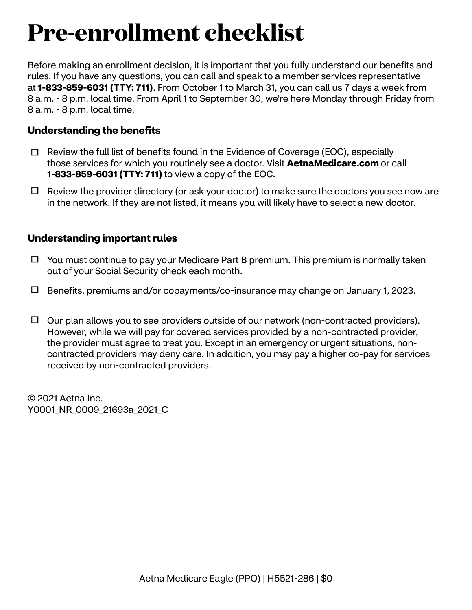# **Pre-enrollment checklist**

Before making an enrollment decision, it is important that you fully understand our benefits and rules. If you have any questions, you can call and speak to a member services representative at **1-833-859-6031 (TTY: 711)**. From October 1 to March 31, you can call us 7 days a week from 8 a.m. - 8 p.m. local time. From April 1 to September 30, we're here Monday through Friday from 8 a.m. - 8 p.m. local time.

### **Understanding the benefits**

- $\Box$  Review the full list of benefits found in the Evidence of Coverage (EOC), especially those services for which you routinely see a doctor. Visit **[AetnaMedicare.com](http://AetnaMedicare.com)** or call **1-833-859-6031 (TTY: 711)** to view a copy of the EOC.
- $\Box$  Review the provider directory (or ask your doctor) to make sure the doctors you see now are in the network. If they are not listed, it means you will likely have to select a new doctor.

### **Understanding important rules**

- $\Box$  You must continue to pay your Medicare Part B premium. This premium is normally taken out of your Social Security check each month.
- $\Box$  Benefits, premiums and/or copayments/co-insurance may change on January 1, 2023.
- $\Box$  Our plan allows you to see providers outside of our network (non-contracted providers). However, while we will pay for covered services provided by a non-contracted provider, the provider must agree to treat you. Except in an emergency or urgent situations, noncontracted providers may deny care. In addition, you may pay a higher co-pay for services received by non-contracted providers.

© 2021 Aetna Inc. Y0001\_NR\_0009\_21693a\_2021\_C